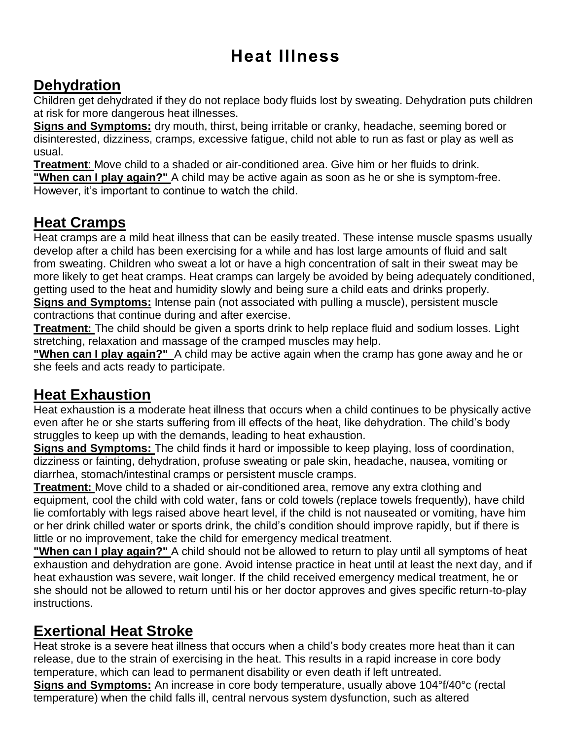# **Heat Illness**

#### **Dehydration**

Children get dehydrated if they do not replace body fluids lost by sweating. Dehydration puts children at risk for more dangerous heat illnesses.

**Signs and Symptoms:** dry mouth, thirst, being irritable or cranky, headache, seeming bored or disinterested, dizziness, cramps, excessive fatigue, child not able to run as fast or play as well as usual.

**Treatment**: Move child to a shaded or air-conditioned area. Give him or her fluids to drink.

**"When can I play again?"** A child may be active again as soon as he or she is symptom-free. However, it's important to continue to watch the child.

### **Heat Cramps**

Heat cramps are a mild heat illness that can be easily treated. These intense muscle spasms usually develop after a child has been exercising for a while and has lost large amounts of fluid and salt from sweating. Children who sweat a lot or have a high concentration of salt in their sweat may be more likely to get heat cramps. Heat cramps can largely be avoided by being adequately conditioned, getting used to the heat and humidity slowly and being sure a child eats and drinks properly. **Signs and Symptoms:** Intense pain (not associated with pulling a muscle), persistent muscle

contractions that continue during and after exercise.

**Treatment:** The child should be given a sports drink to help replace fluid and sodium losses. Light stretching, relaxation and massage of the cramped muscles may help.

**"When can I play again?"** A child may be active again when the cramp has gone away and he or she feels and acts ready to participate.

## **Heat Exhaustion**

Heat exhaustion is a moderate heat illness that occurs when a child continues to be physically active even after he or she starts suffering from ill effects of the heat, like dehydration. The child's body struggles to keep up with the demands, leading to heat exhaustion.

**Signs and Symptoms:** The child finds it hard or impossible to keep playing, loss of coordination, dizziness or fainting, dehydration, profuse sweating or pale skin, headache, nausea, vomiting or diarrhea, stomach/intestinal cramps or persistent muscle cramps.

**Treatment:** Move child to a shaded or air-conditioned area, remove any extra clothing and equipment, cool the child with cold water, fans or cold towels (replace towels frequently), have child lie comfortably with legs raised above heart level, if the child is not nauseated or vomiting, have him or her drink chilled water or sports drink, the child's condition should improve rapidly, but if there is little or no improvement, take the child for emergency medical treatment.

**"When can I play again?"** A child should not be allowed to return to play until all symptoms of heat exhaustion and dehydration are gone. Avoid intense practice in heat until at least the next day, and if heat exhaustion was severe, wait longer. If the child received emergency medical treatment, he or she should not be allowed to return until his or her doctor approves and gives specific return-to-play instructions.

#### **Exertional Heat Stroke**

Heat stroke is a severe heat illness that occurs when a child's body creates more heat than it can release, due to the strain of exercising in the heat. This results in a rapid increase in core body temperature, which can lead to permanent disability or even death if left untreated.

**Signs and Symptoms:** An increase in core body temperature, usually above 104°f/40°c (rectal temperature) when the child falls ill, central nervous system dysfunction, such as altered